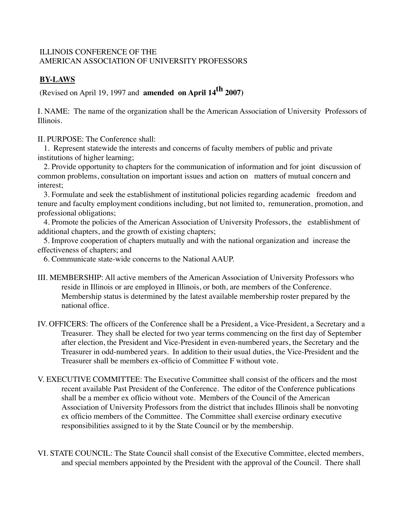## ILLINOIS CONFERENCE OF THE AMERICAN ASSOCIATION OF UNIVERSITY PROFESSORS

## **BY-LAWS**

(Revised on April 19, 1997 and **amended on April 14th 2007)**

I. NAME: The name of the organization shall be the American Association of University Professors of Illinois.

II. PURPOSE: The Conference shall:

 1. Represent statewide the interests and concerns of faculty members of public and private institutions of higher learning;

 2. Provide opportunity to chapters for the communication of information and for joint discussion of common problems, consultation on important issues and action on matters of mutual concern and interest;

 3. Formulate and seek the establishment of institutional policies regarding academic freedom and tenure and faculty employment conditions including, but not limited to, remuneration, promotion, and professional obligations;

 4. Promote the policies of the American Association of University Professors, the establishment of additional chapters, and the growth of existing chapters;

 5. Improve cooperation of chapters mutually and with the national organization and increase the effectiveness of chapters; and

6. Communicate state-wide concerns to the National AAUP.

- III. MEMBERSHIP: All active members of the American Association of University Professors who reside in Illinois or are employed in Illinois, or both, are members of the Conference. Membership status is determined by the latest available membership roster prepared by the national office.
- IV. OFFICERS: The officers of the Conference shall be a President, a Vice-President, a Secretary and a Treasurer. They shall be elected for two year terms commencing on the first day of September after election, the President and Vice-President in even-numbered years, the Secretary and the Treasurer in odd-numbered years. In addition to their usual duties, the Vice-President and the Treasurer shall be members ex-officio of Committee F without vote.
- V. EXECUTIVE COMMITTEE: The Executive Committee shall consist of the officers and the most recent available Past President of the Conference. The editor of the Conference publications shall be a member ex officio without vote. Members of the Council of the American Association of University Professors from the district that includes Illinois shall be nonvoting ex officio members of the Committee. The Committee shall exercise ordinary executive responsibilities assigned to it by the State Council or by the membership.
- VI. STATE COUNCIL: The State Council shall consist of the Executive Committee, elected members, and special members appointed by the President with the approval of the Council. There shall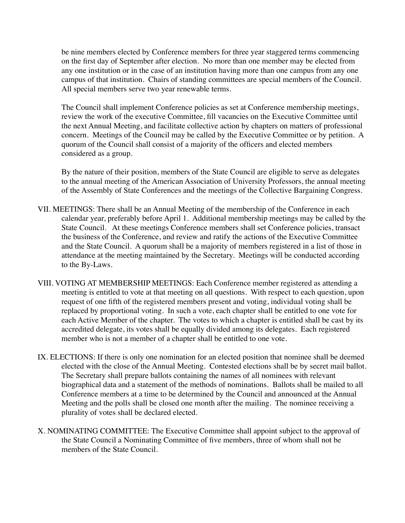be nine members elected by Conference members for three year staggered terms commencing on the first day of September after election. No more than one member may be elected from any one institution or in the case of an institution having more than one campus from any one campus of that institution. Chairs of standing committees are special members of the Council. All special members serve two year renewable terms.

The Council shall implement Conference policies as set at Conference membership meetings, review the work of the executive Committee, fill vacancies on the Executive Committee until the next Annual Meeting, and facilitate collective action by chapters on matters of professional concern. Meetings of the Council may be called by the Executive Committee or by petition. A quorum of the Council shall consist of a majority of the officers and elected members considered as a group.

By the nature of their position, members of the State Council are eligible to serve as delegates to the annual meeting of the American Association of University Professors, the annual meeting of the Assembly of State Conferences and the meetings of the Collective Bargaining Congress.

- VII. MEETINGS: There shall be an Annual Meeting of the membership of the Conference in each calendar year, preferably before April 1. Additional membership meetings may be called by the State Council. At these meetings Conference members shall set Conference policies, transact the business of the Conference, and review and ratify the actions of the Executive Committee and the State Council. A quorum shall be a majority of members registered in a list of those in attendance at the meeting maintained by the Secretary. Meetings will be conducted according to the By-Laws.
- VIII. VOTING AT MEMBERSHIP MEETINGS: Each Conference member registered as attending a meeting is entitled to vote at that meeting on all questions. With respect to each question, upon request of one fifth of the registered members present and voting, individual voting shall be replaced by proportional voting. In such a vote, each chapter shall be entitled to one vote for each Active Member of the chapter. The votes to which a chapter is entitled shall be cast by its accredited delegate, its votes shall be equally divided among its delegates. Each registered member who is not a member of a chapter shall be entitled to one vote.
- IX. ELECTIONS: If there is only one nomination for an elected position that nominee shall be deemed elected with the close of the Annual Meeting. Contested elections shall be by secret mail ballot. The Secretary shall prepare ballots containing the names of all nominees with relevant biographical data and a statement of the methods of nominations. Ballots shall be mailed to all Conference members at a time to be determined by the Council and announced at the Annual Meeting and the polls shall be closed one month after the mailing. The nominee receiving a plurality of votes shall be declared elected.
- X. NOMINATING COMMITTEE: The Executive Committee shall appoint subject to the approval of the State Council a Nominating Committee of five members, three of whom shall not be members of the State Council.